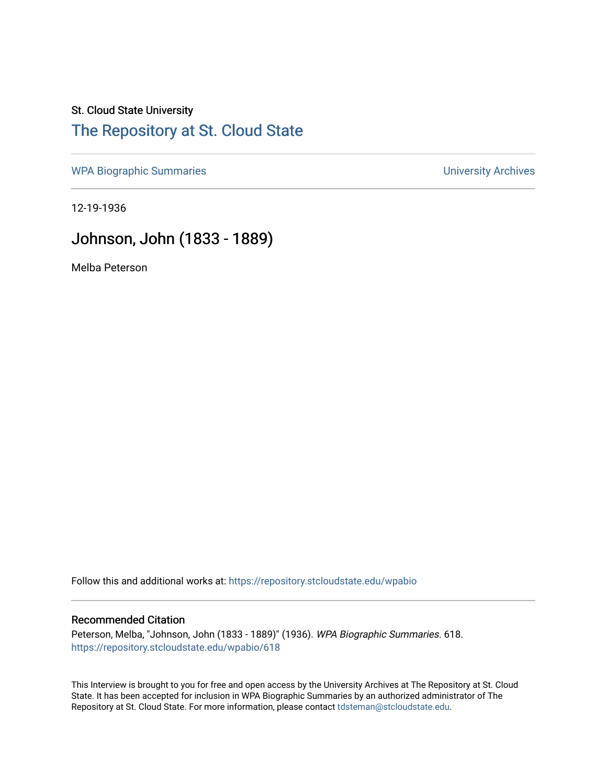## St. Cloud State University [The Repository at St. Cloud State](https://repository.stcloudstate.edu/)

[WPA Biographic Summaries](https://repository.stcloudstate.edu/wpabio) **WPA Biographic Summaries University Archives** 

12-19-1936

## Johnson, John (1833 - 1889)

Melba Peterson

Follow this and additional works at: [https://repository.stcloudstate.edu/wpabio](https://repository.stcloudstate.edu/wpabio?utm_source=repository.stcloudstate.edu%2Fwpabio%2F618&utm_medium=PDF&utm_campaign=PDFCoverPages) 

#### Recommended Citation

Peterson, Melba, "Johnson, John (1833 - 1889)" (1936). WPA Biographic Summaries. 618. [https://repository.stcloudstate.edu/wpabio/618](https://repository.stcloudstate.edu/wpabio/618?utm_source=repository.stcloudstate.edu%2Fwpabio%2F618&utm_medium=PDF&utm_campaign=PDFCoverPages) 

This Interview is brought to you for free and open access by the University Archives at The Repository at St. Cloud State. It has been accepted for inclusion in WPA Biographic Summaries by an authorized administrator of The Repository at St. Cloud State. For more information, please contact [tdsteman@stcloudstate.edu.](mailto:tdsteman@stcloudstate.edu)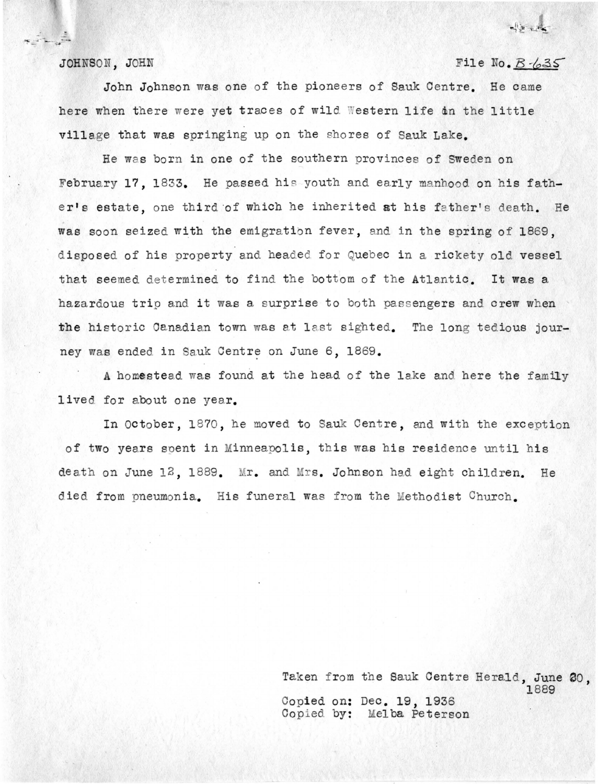JOHNSON, JOHN

### File No.  $B - 35$

John Johnson was one of the pioneers of Sauk Centre. He came here when there were yet traces of wild Western life dn the little village that was springing up on the shores of Sauk Lake.

He was born in one of the southern provinces of Sweden on February 17. 1833. He passed his youth and early manhood on his father's estate, one third of which he inherited at his father's death. He was soon seized with the emigration fever, and in the spring of 1869, disposed of his property and headed for Quebec in a rickety old vessel that seemed determined to find the bottom of the Atlantic. It was a hazardous trip and it was a surprise to both passengers and crew when the historic Canadian town was at last sighted. The long tedious journey was ended in Sauk Centre on June 6, 1869.

A homest ead was found at the head of the lake and here the family lived for about one year.

In October, 1870, he moved to Sauk Centre, and with the exception of two years spent in Minneapolis, this was his residence until his death on June 12, 1889. Mr. and Mrs. Johnson had eight children. He died from pneumonia. His funeral was from the Methodist Church.

> Taken from the Sauk Centre Herald, June 20, Copied on: Dec. 19, 1936 Copied by: Melba Peterson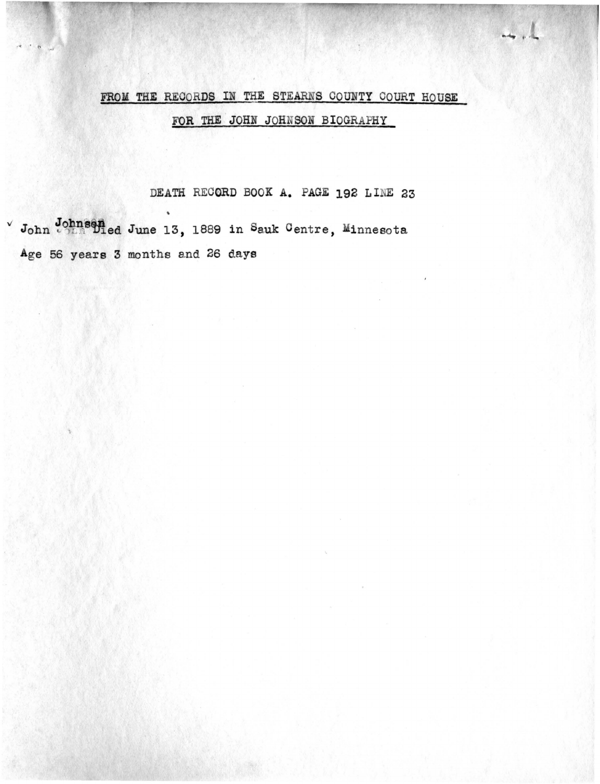# FROM THE RECORDS IN THE STEARNS COUNTY COURT HOUSE

بالرجم

FOR THE JOHN JOHNSON BIOGRAPHY

DEATH RECORD BOOK A. PAGE 192 LINE 23

John Johnsened June 13, 1889 in Sauk Centre, Minnesota Age 56 years 3 months and 26 days